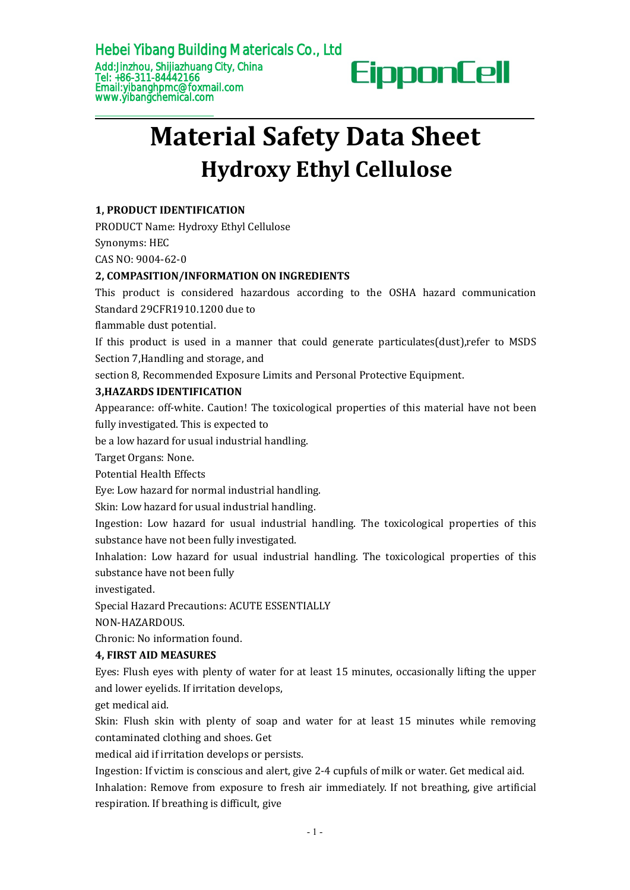

# **Material Safety Data Sheet Hydroxy Ethyl Cellulose**

# **1, PRODUCT IDENTIFICATION**

PRODUCT Name: Hydroxy Ethyl Cellulose

Synonyms: HEC

CAS NO: 9004-62-0

## **2, COMPASITION/INFORMATION ON INGREDIENTS**

This product is considered hazardous according to the OSHA hazard communication Standard 29CFR1910.1200 due to

flammable dust potential.

If this product is used in a manner that could generate particulates(dust),refer to MSDS Section 7,Handling and storage, and

section 8, Recommended Exposure Limits and Personal Protective Equipment.

# **3,HAZARDS IDENTIFICATION**

Appearance: off-white. Caution! The toxicological properties of this material have not been fully investigated. This is expected to

be a low hazard for usual industrial handling.

Target Organs: None.

Potential Health Effects

Eye: Low hazard for normal industrial handling.

Skin: Low hazard for usual industrial handling.

Ingestion: Low hazard for usualindustrial handling. The toxicological properties of this

substance have not been fully investigated.<br>Inhalation: Low hazard for usual industrial handling. The toxicological properties of this substance have not been fully

investigated.

Special Hazard Precautions: ACUTE ESSENTIALLY

NON-HAZARDOUS.

Chronic: No information found.

## **4, FIRST AID MEASURES**

Eyes: Flush eyes with plenty of water for at least 15 minutes, occasionally lifting the upper and lower eyelids. If irritation develops,

get medical aid.

Skin: Flush skin with plenty of soap and water for at least 15 minutes while removing contaminated clothing and shoes. Get

medical aid if irritation develops or persists.

Ingestion: If victim is conscious and alert, give 2-4 cupfuls of milk or water. Get medical aid. Inhalation: Remove from exposure to fresh air immediately. If not breathing, give artificial respiration. If breathing is difficult, give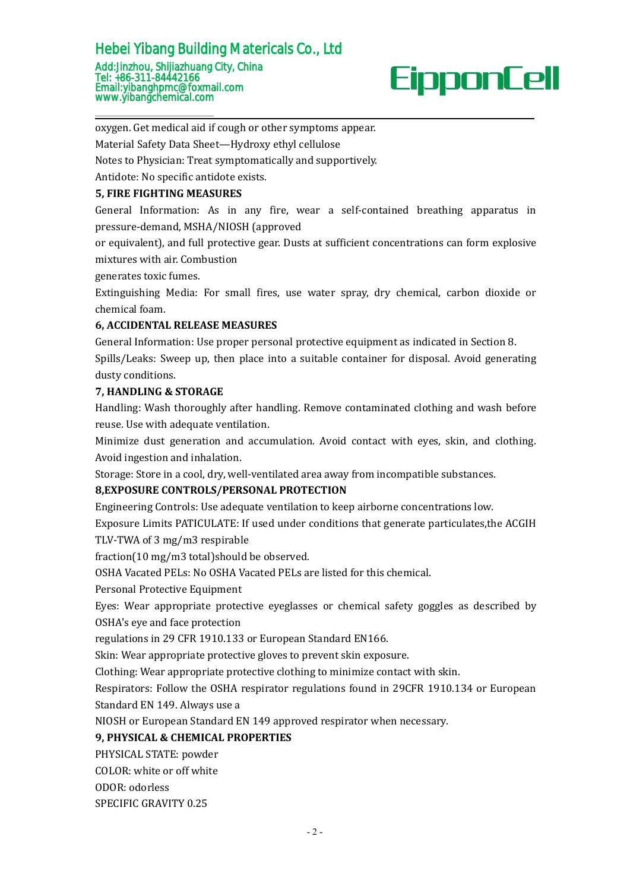

oxygen. Get medical aid if cough or other symptoms appear.

Material Safety Data Sheet—Hydroxy ethyl cellulose

Notes to Physician: Treat symptomatically and supportively.

Antidote: No specific antidote exists.

### **5, FIRE FIGHTING MEASURES**

General Information: As in any fire, wear a self-contained breathing apparatus in pressure-demand, MSHA/NIOSH (approved

or equivalent), and full protective gear. Dusts at sufficient concentrations can form explosive mixtures with air. Combustion

generates toxic fumes.

Extinguishing Media: For small fires, use water spray, dry chemical, carbon dioxide or chemical foam.

## **6, ACCIDENTAL RELEASE MEASURES**

General Information: Use proper personal protective equipment as indicated in Section 8. Spills/Leaks: Sweep up, then place into a suitable container for disposal. Avoid generating dusty conditions.

### **7, HANDLING & STORAGE**

Handling: Wash thoroughly after handling. Remove contaminated clothing and wash before reuse. Use with adequate ventilation.

Minimize dust generation and accumulation. Avoid contact with eyes, skin, and clothing. Avoid ingestion and inhalation.

Storage: Store in a cool, dry, well-ventilated area away from incompatible substances.

## **8,EXPOSURE CONTROLS/PERSONAL PROTECTION**

Engineering Controls: Use adequate ventilation to keep airborne concentrations low.

Exposure Limits PATICULATE: If used under conditions that generate particulates,the ACGIH TLV-TWA of 3 mg/m3 respirable

 $fraction(10 mg/m3 total)$ should be observed.

OSHA Vacated PELs: No OSHA Vacated PELs are listed for this chemical.Personal Protective Equipment

Eyes: Wear appropriate protective eyeglasses or chemical safety goggles as described by OSHA's eye and face protection

regulations in 29 CFR 1910.133 or European Standard EN166.

Skin: Wear appropriate protective gloves to prevent skin exposure.

Clothing: Wear appropriate protective clothing to minimize contact with skin.

Respirators: Follow the OSHA respirator regulations found in 29CFR 1910.134 or European Standard EN 149. Always use a

NIOSH or European Standard EN 149 approved respirator when necessary.

## **9, PHYSICAL & CHEMICAL PROPERTIES**

PHYSICAL STATE: powder

COLOR: white or off white

ODOR: odorless

SPECIFIC GRAVITY 0.25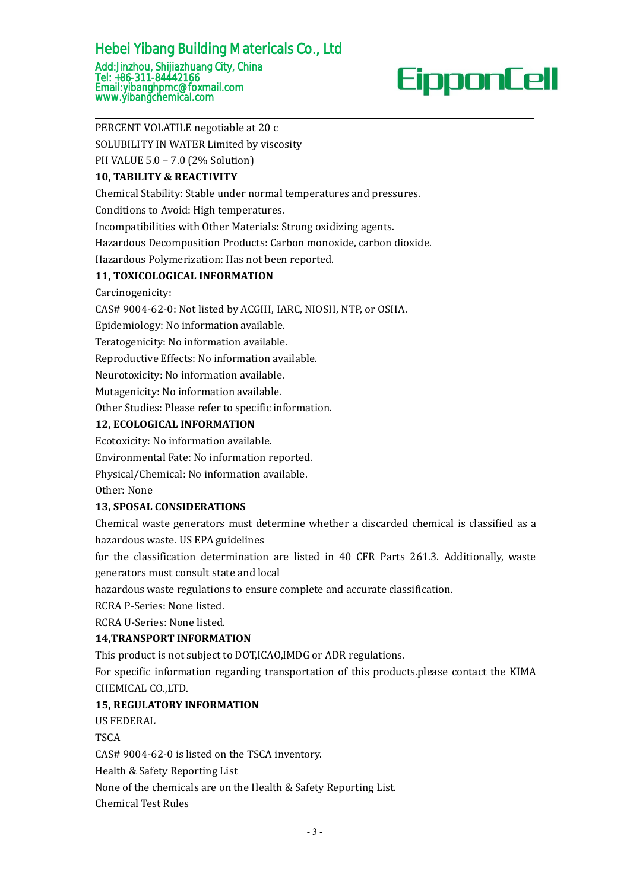# Add:Jinzhou, Shijiazhuang City, China Tel: +86-311-84442166 Hebei Yibang Building Matericals Co., Ltd

Email:yibanghpmc@foxmail.com [www.yibangchemical.com](http://www.kimacellulose.com )

# PERCENT VOLATILE negotiable at 20 c

SOLUBILITY IN WATER Limited by viscosity

PH VALUE 5.0 – 7.0 (2% Solution)

# **10, TABILITY & REACTIVITY**

Chemical Stability: Stable under normal temperatures and pressures.

Conditions to Avoid: High temperatures.

Incompatibilities with Other Materials: Strong oxidizing agents.

Hazardous Decomposition Products: Carbon monoxide, carbon dioxide.

Hazardous Polymerization: Has not been reported.

# **11, TOXICOLOGICAL INFORMATION**

Carcinogenicity:

CAS# 9004-62-0: Not listed by ACGIH, IARC, NIOSH, NTP, or OSHA.

Epidemiology: No information available.

Teratogenicity: No information available.

Reproductive Effects: No information available.

Neurotoxicity: No information available.

Mutagenicity: No information available.

Other Studies: Please refer to specific information.

# **12, ECOLOGICAL INFORMATION**

Ecotoxicity: No information available.

Environmental Fate: No information reported.

Physical/Chemical: No information available.

Other: None

# **13, SPOSAL CONSIDERATIONS**

Chemical waste generators must determine whether a discarded chemical is classified as a hazardous waste. US EPA guidelines

for the classification determination are listed in 40 CFR Parts 261.3. Additionally, waste generators must consult state and local

hazardous waste regulations to ensure complete and accurate classification.

RCRA P-Series: None listed.

RCRA U-Series: None listed.

# **14,TRANSPORT INFORMATION**

This product is not subject to DOT,ICAO,IMDG or ADR regulations.

For specific information regarding transportation of this products.please contact the KIMA CHEMICAL CO.,LTD.

# **15, REGULATORY INFORMATION**

US FEDERAL

TSCA **TEACHER** 

CAS# 9004-62-0 is listed on the TSCA inventory.

Health & Safety Reporting List

None of the chemicals are on the Health & Safety Reporting List.

Chemical Test Rules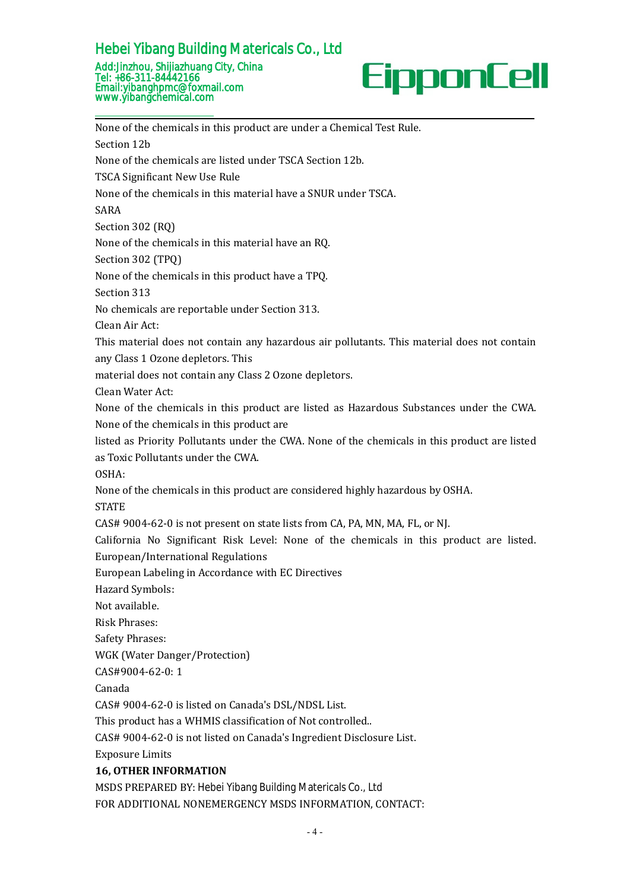### Add:Jinzhou, Shijiazhuang City, China Tel: +86-311-84442166 Email:yibanghpmc@foxmail.com www.yibangchemical.com Hebei Yibang Building Matericals Co., Ltd



HebeiYibang Building Matericals Co., Ltd<br>
Add:Jinzhou, Shijiazhuang City, China<br>
Femali: +86-311-84442166<br>
Emali: yibangchemical.com<br>
www.yibangchemical.com<br>
www.yibangchemical.com<br>
None of the chemicals are listed under Hebei Yibang Building Materic<br>
Add:Jinzhou, Shijiazhuang City, China<br>
Tel: +86-311-84442166<br>
Email:yibanghpmc@foxmail.com<br>
www.yibangchemical.com<br>
None of the chemicals in this product a<br>
Section 12b<br>
None of the chemicals Hebei Yibang Building Matericals Co., Ltd<br>
Add:Jinzhou, Shijiazhuang City, China<br>
Tel: +86-311-84442166<br>
Email:yibangchemical.com<br>
Email:yibangchemical.com<br>
Wome of the chemicals in this product are under a Chemical Test R Add:Jinzhou, Shijiazhuang City, China<br>
Tel: +86-311-84442166<br>
Email:yibanghpmc@foxmail.com<br>
www.yibangchemical.com<br>
<br>
None of the chemicals in this product are under a Chemic<br>
Section 12b<br>
None of the chemicals are listed Tel: +86-311-84442166<br>
Email:ylbanghpmc@foxmail.com<br>
Wome of the chemicals in this product are under a Chemical Test Rule.<br>
Section 12b<br>
None of the chemicals are listed under TSCA Section 12b.<br>
TSCA Significant New Use Ru SARA **SARA** Mone of the chemicals in this product are un<br>Section 12b<br>None of the chemicals are listed under TSC.<br>TSCA Significant New Use Rule<br>None of the chemicals in this material have<br>SARA<br>Section 302 (RQ)<br>None of the chemicals in None of the chemicals in this product are under a Chemical Test Rule.<br>Section 12b<br>None of the chemicals are listed under TSCA Section 12b.<br>TSCA Significant New Use Rule<br>None of the chemicals in this material have a SNUR un Section 12b<br>None of the chemicals are listed under TSC.<br>TSCA Significant New Use Rule<br>None of the chemicals in this material have<br>SARA<br>Section 302 (RQ)<br>None of the chemicals in this material have<br>Section 302 (TPQ)<br>None of None of the chemicals are listed under TSCA Section 12b.<br>TSCA Significant New Use Rule<br>None of the chemicals in this material have a SNUR under TSCA.<br>SARA<br>Section 302 (RQ)<br>None of the chemicals in this material have an RQ. TSCA Significant New Use Rule<br>None of the chemicals in this material l<br>SARA<br>Section 302 (RQ)<br>None of the chemicals in this material l<br>Section 302 (TPQ)<br>None of the chemicals in this product h<br>Section 313<br>No chemicals are r None of the chemicals in this material have a SNUR under TSCA.<br>SARA<br>Section 302 (RQ)<br>None of the chemicals in this material have an RQ.<br>Section 302 (TPQ)<br>None of the chemicals in this product have a TPQ.<br>Section 313.<br>No ch SARA<br>Section 302 (RQ)<br>None of the chemicals in this material ha<br>Section 302 (TPQ)<br>None of the chemicals in this product ha<br>Section 313<br>No chemicals are reportable under Sectio<br>Clean Air Act:<br>This material does not contain Section 302 (RQ)<br>
None of the chemicals in this material have an RQ.<br>
None of the chemicals in this product have a TPQ.<br>
Section 313.<br>
No chemicals are reportable under Section 313.<br>
Clean Air Act:<br>
This material does not None of the chemicals in this material have an RQ.<br>Section 302 (TPQ)<br>None of the chemicals in this product have a TPQ.<br>Section 313<br>No chemicals are reportable under Section 313.<br>Clean Air Act:<br>This material does not contai Section 302 (TPQ)<br>
None of the chemicals in this product have a TPQ.<br>
Section 313<br>
No chemicals are reportable under Section 313.<br>
Clean Air Act:<br>
This material does not contain any hazardous air pollutants. This materia<br> None of the chemicals in this product have a<br>Section 313<br>No chemicals are reportable under Section :<br>Clean Air Act:<br>This material does not contain any hazard<br>any Class 1 Ozone depletors. This<br>material does not contain any Section 313<br>
No chemicals are reportable under Section 313.<br>
Clean Air Act:<br>
This material does not contain any hazardous air pollutants. This material does not contain<br>
rany Class 1 Ozone depletors. This<br>
material does no No chemicals are reportable under Section 313.<br>Clean Air Act:<br>This material does not contain any hazardous air pollutants. This n<br>any Class 1 Ozone depletors. This<br>material does not contain any Class 2 Ozone depletors.<br>Cle Clean Air Act:<br>
This material does not contain any hazardous air pollutants. This material does not contain<br>
any Class 1 0zone depletors. This<br>
material does not contain any Class 2 0zone depletors.<br>
Clean Water Act:<br>
None This material does not contain any hazardous air pollutant<br>any Class 1 Ozone depletors. This<br>material does not contain any Class 2 Ozone depletors.<br>Clean Water Act:<br>None of the chemicals in this product are listed as Hazar OSHA: material does not contain any Class 2 Ozone depletors.<br>Clean Water Act:<br>None of the chemicals in this product are listed as Hazardous Substances under the CWA.<br>None of the chemicals in this product are<br>isted as Proincy Pol STATE STATE None of the chemicals in this product are listed as Hazardous Substances under the CWA.<br>None of the chemicals in this product are<br>listed as Priority Pollutants under the CWA. None of the chemicals in this product are liste None of the chemicals in this product are<br>listed as Priority Pollutants under the CWA. None of the chemicals in this product are listed<br>as Toxic Pollutants under the CWA.<br>OSIA:<br>None of the chemicals in this product are con listed as Priority Pollutants under the CWA. None of th<br>as Toxic Pollutants under the CWA.<br>OSHA:<br>None of the chemicals in this product are considered hig<br>STATE<br>CAS# 9004-62-0 is not present on state lists from CA, PA<br>Calif as Toxic Pollutants under the CWA.<br>OSHA:<br>OSHA:<br>None of the chemicals in this product are considered highly hazardous by<br>STATE<br>CAS# 9004-62-0 is not present on state lists from CA, PA, MN, MA, FL, or l<br>California No Signifi OSHA:<br>
None of the chemicals in this product a<br>
STATE<br>
CAS# 9004-62-0 is not present on state<br>
California No Significant Risk Level:<br>
European/International Regulations<br>
European Labeling in Accordance with<br>
Hazard Symbols None of the chemicals in this produ<br>STATE<br>CAS# 9004-62-0 is not present on s<br>California No Significant Risk Le<br>European/International Regulatior<br>European Labeling in Accordance v<br>Hazard Symbols:<br>Not available.<br>Risk Phrases STATE<br>
CAS# 9004-62-0 is not present on s<br>
California No Significant Risk Lev<br>
European/International Regulation:<br>
European Labeling in Accordance w<br>
Hazard Symbols:<br>
Not available.<br>
Risk Phrases:<br>
Safety Phrases:<br>
WGK (Wa CAS# 9004-62-0 is not present on sta<br>California No Significant Risk Leve<br>European/International Regulations<br>European Labeling in Accordance wit<br>Hazard Symbols:<br>Not available.<br>Risk Phrases:<br>Safety Phrases:<br>WGK (Water Danger California No Significant Risk Level: None of<br>European/International Regulations<br>European Labeling in Accordance with EC Directiv<br>Hazard Symbols:<br>Not available.<br>Risk Phrases:<br>Safety Phrases:<br>WGK (Water Danger/Protection)<br>C European/International Regulations<br>European Labeling in Accordance with EC Direct<br>Hazard Symbols:<br>Not available.<br>Risk Phrases:<br>Safety Phrases:<br>WGK (Water Danger/Protection)<br>CAS#9004-62-0: 1<br>Canada<br>CAS# 9004-62-0 is listed Canada Hazard Symbols:<br>
Not available.<br>
Risk Phrases:<br>
Safety Phrases:<br>
WGK (Water Danger/Protection)<br>
CAS#9004-62-0 is listed on Canada's DSL/NDSL List.<br>
This product has a WHMIS classification of Not controlled..<br>
CAS# 9004-62-Not available.<br>
Risk Phrases:<br>
Safety Phrases:<br>
WGK (Water Danger/Protection)<br>
CAS#9004-62-0: 1<br>
Canada<br>
CAS# 9004-62-0 is listed on Canada's DSL/NDSL List.<br>
This product has a WHMIS classification of Not controlled.<br>
CAS# Risk Phrases:<br>Safety Phrases:<br>WGK (Water Danger/Protection)<br>CAS#9004-62-0 is listed on Canada's DSL/NDSL List.<br>This product has a WHMIS classification of Not controlled..<br>CAS# 9004-62-0 is not listed on Canada's Ingredient Safety Phrases:<br>WGK (Water Danger/Protection)<br>CAS#9004-62-0: 1<br>Canada<br>CAS# 9004-62-0 is listed on Canada's DS<br>This product has a WHMIS classification<br>CAS# 9004-62-0 is not listed on Canada's<br>Exposure Limits<br>**16, OTHER INFO** Not available.<br>
Risk Phrases:<br>
Safety Phrases:<br>
WGK (Water Danger/Protection)<br>
CAS#9004-62-0: 1<br>
Canada<br>
CAS# 9004-62-0 is listed on Canada's DSL/NDSL List.<br>
This product has a WHMIS classification of Not controlled.<br>
CAS# CAS#9004-62-0: 1<br>Canada<br>CAS# 9004-62-0 is listed on Canada's DSL/NDSL List.<br>This product has a WHMIS classification of Not controlled..<br>CAS# 9004-62-0 is not listed on Canada's Ingredient Disclosure List.<br>Exposure Limits<br> Canada<br>CAS# 9004-62-0 is listed on Canada's DSL/NDSL List.<br>This product has a WHMIS classification of Not controlled..<br>CAS# 9004-62-0 is not listed on Canada's Ingredient Disclosure List.<br>Exposure Limits<br>**16, OTHER INFORMA**